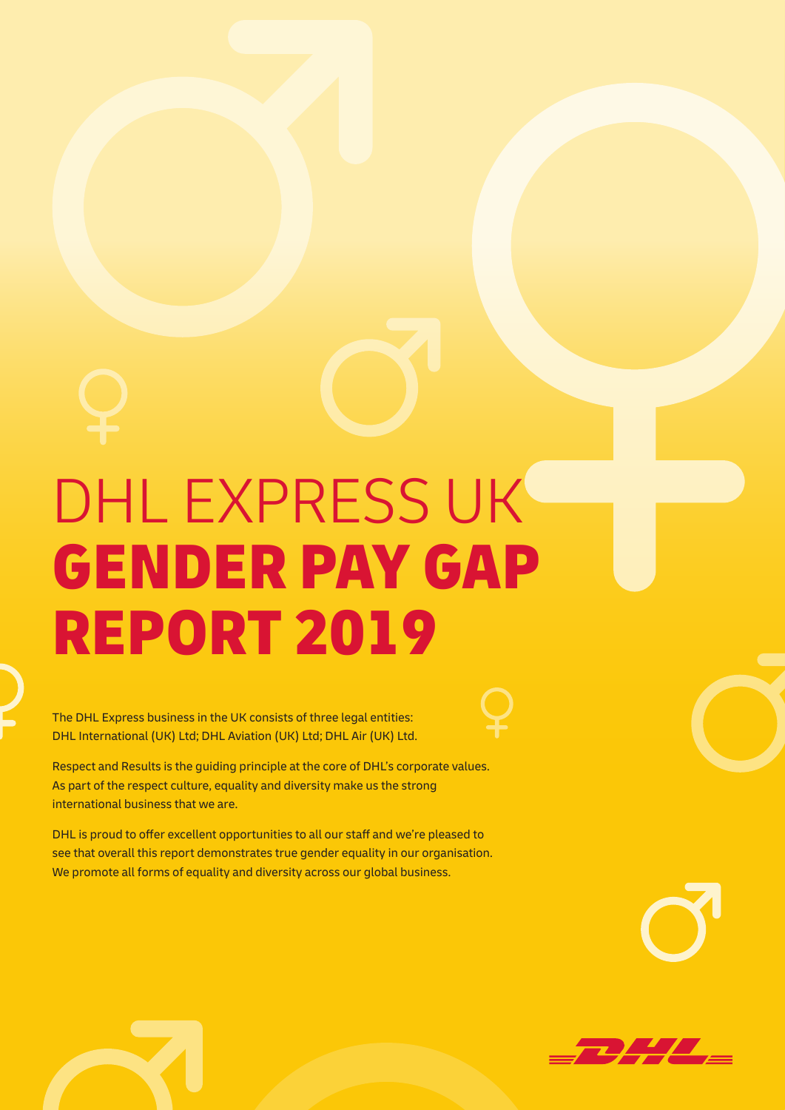# DHL EXPRESS UK GENDER PAY GAP REPORT 2019

The DHL Express business in the UK consists of three legal entities: DHL International (UK) Ltd; DHL Aviation (UK) Ltd; DHL Air (UK) Ltd.

Respect and Results is the guiding principle at the core of DHL's corporate values. As part of the respect culture, equality and diversity make us the strong international business that we are.

DHL is proud to offer excellent opportunities to all our staff and we're pleased to see that overall this report demonstrates true gender equality in our organisation. We promote all forms of equality and diversity across our global business.

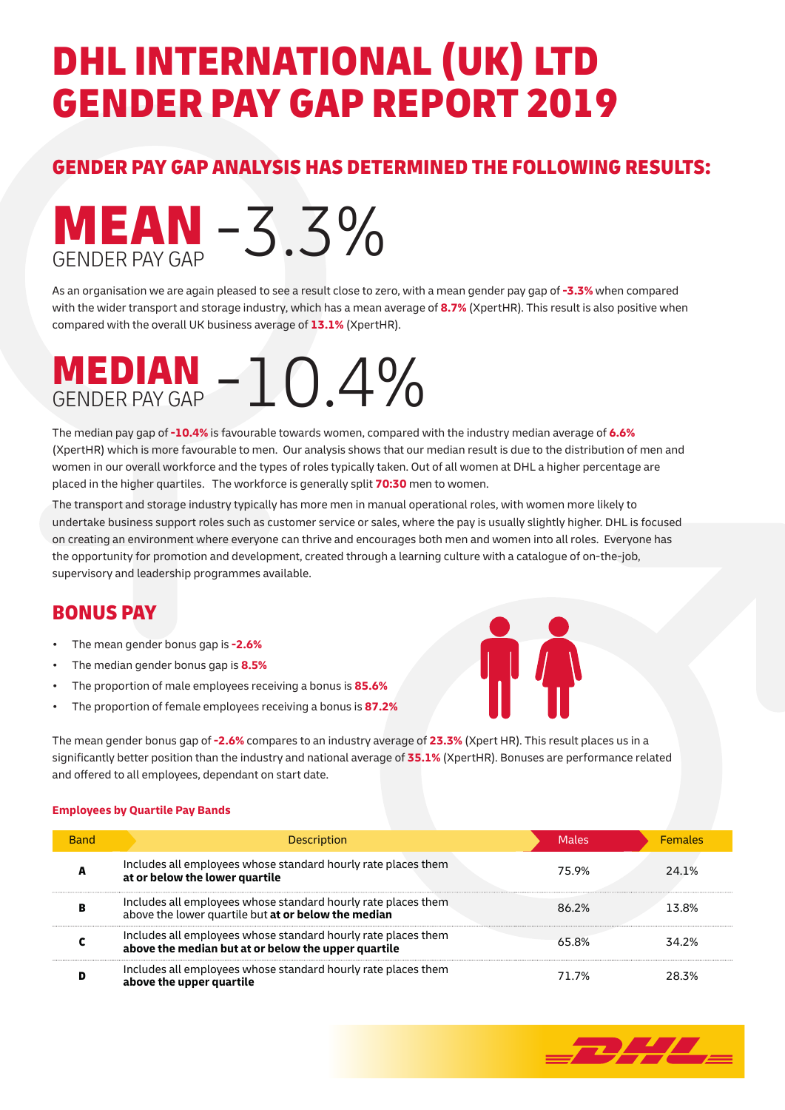## DHL INTERNATIONAL (UK) LTD GENDER PAY GAP REPORT 2019

#### GENDER PAY GAP ANALYSIS HAS DETERMINED THE FOLLOWING RESULTS:



As an organisation we are again pleased to see a result close to zero, with a mean gender pay gap of **-3.3%** when compared with the wider transport and storage industry, which has a mean average of **8.7%** (XpertHR). This result is also positive when compared with the overall UK business average of **13.1%** (XpertHR).

### **MEDIAN MEDIAN** - 10.4%

The median pay gap of **-10.4%** is favourable towards women, compared with the industry median average of **6.6%** (XpertHR) which is more favourable to men. Our analysis shows that our median result is due to the distribution of men and women in our overall workforce and the types of roles typically taken. Out of all women at DHL a higher percentage are placed in the higher quartiles. The workforce is generally split **70:30** men to women.

The transport and storage industry typically has more men in manual operational roles, with women more likely to undertake business support roles such as customer service or sales, where the pay is usually slightly higher. DHL is focused on creating an environment where everyone can thrive and encourages both men and women into all roles. Everyone has the opportunity for promotion and development, created through a learning culture with a catalogue of on-the-job, supervisory and leadership programmes available.

#### BONUS PAY

- The mean gender bonus gap is **-2.6%**
- The median gender bonus gap is **8.5%**
- The proportion of male employees receiving a bonus is **85.6%**
- The proportion of female employees receiving a bonus is **87.2%**

The mean gender bonus gap of **-2.6%** compares to an industry average of **23.3%** (Xpert HR). This result places us in a significantly better position than the industry and national average of **35.1%** (XpertHR). Bonuses are performance related and offered to all employees, dependant on start date.

#### **Employees by Quartile Pay Bands**

| <b>Band</b> | <b>Description</b>                                                                                                   | <b>Males</b> | <b>Females</b> |
|-------------|----------------------------------------------------------------------------------------------------------------------|--------------|----------------|
|             | Includes all employees whose standard hourly rate places them<br>at or below the lower quartile                      | 75.9%        | 24 1%          |
|             | Includes all employees whose standard hourly rate places them<br>above the lower quartile but at or below the median | 86.2%        | 13.8%          |
|             | Includes all employees whose standard hourly rate places them<br>above the median but at or below the upper quartile | 65.8%        | 34.2%          |
|             | Includes all employees whose standard hourly rate places them<br>above the upper quartile                            | 71 7%        | 28.3%          |

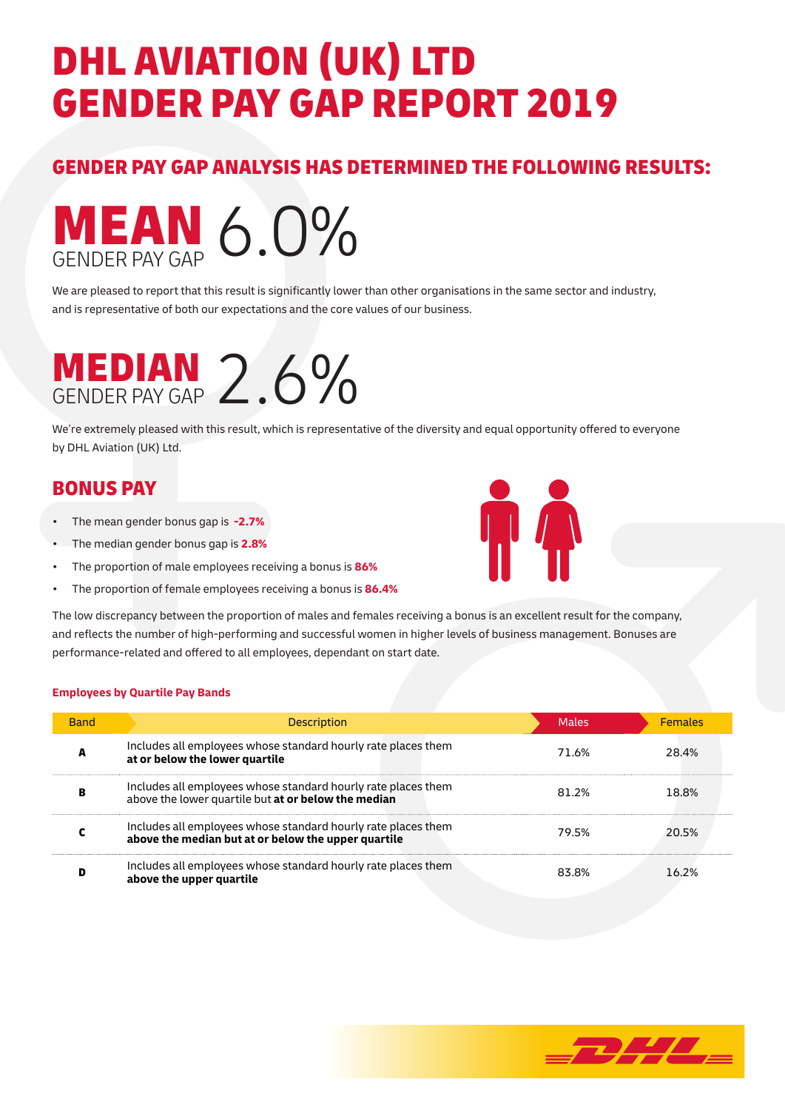# DHL AVIATION (UK) LTD GENDER PAY GAP REPORT 2019

#### GENDER PAY GAP ANALYSIS HAS DETERMINED THE FOLLOWING RESULTS:



We are pleased to report that this result is significantly lower than other organisations in the same sector and industry, and is representative of both our expectations and the core values of our business.

### **MEDIAN** GENDER PAY GAP 2.6%

We're extremely pleased with this result, which is representative of the diversity and equal opportunity offered to everyone by DHL Aviation (UK) Ltd.

### BONUS PAY

- The mean gender bonus gap is **-2.7%**
- The median gender bonus gap is **2.8%**
- The proportion of male employees receiving a bonus is **86%**
- The proportion of female employees receiving a bonus is **86.4%**



The low discrepancy between the proportion of males and females receiving a bonus is an excellent result for the company, and reflects the number of high-performing and successful women in higher levels of business management. Bonuses are performance-related and offered to all employees, dependant on start date.

#### **Employees by Quartile Pay Bands**

| <b>Band</b> | <b>Description</b>                                                                                                   | <b>Males</b> | <b>Females</b> |
|-------------|----------------------------------------------------------------------------------------------------------------------|--------------|----------------|
|             | Includes all employees whose standard hourly rate places them<br>at or below the lower quartile                      | 71.6%        | 28.4%          |
|             | Includes all employees whose standard hourly rate places them<br>above the lower quartile but at or below the median | 81 2%        | 18.8%          |
|             | Includes all employees whose standard hourly rate places them<br>above the median but at or below the upper quartile | 79.5%        | 20.5%          |
|             | Includes all employees whose standard hourly rate places them<br>above the upper quartile                            | 83.8%        | 16.2%          |

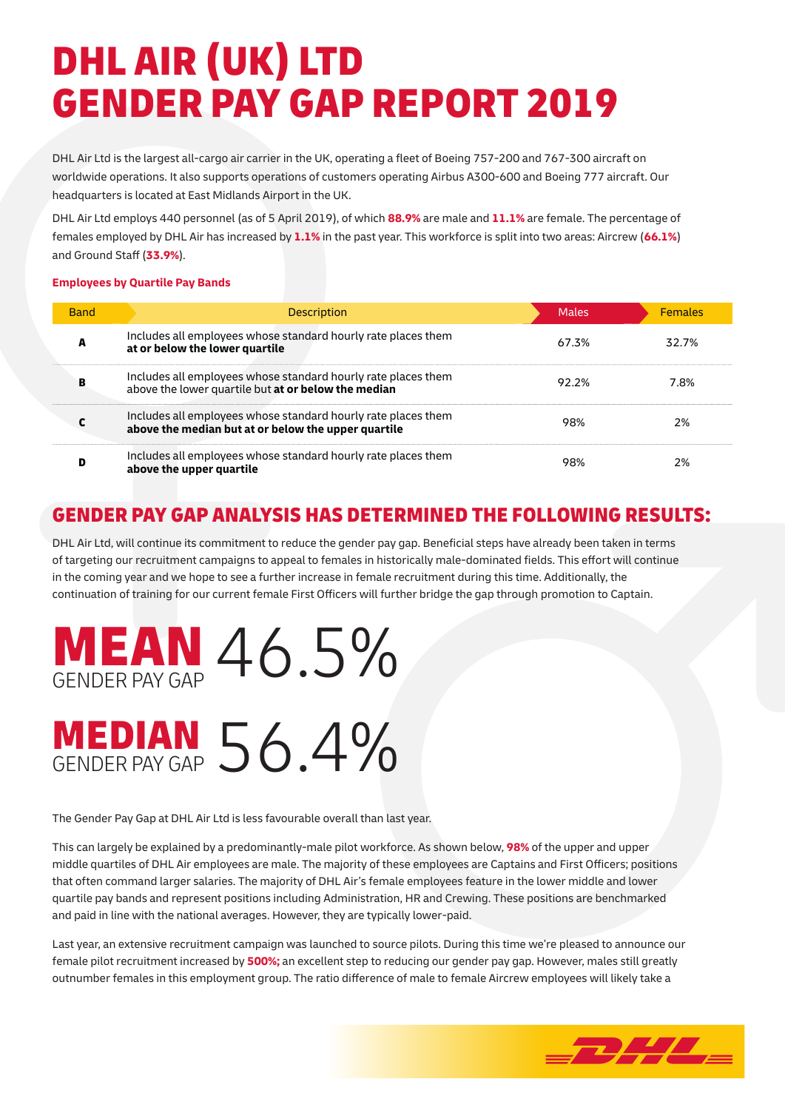# DHL AIR (UK) LTD GENDER PAY GAP REPORT 2019

DHL Air Ltd is the largest all-cargo air carrier in the UK, operating a fleet of Boeing 757-200 and 767-300 aircraft on worldwide operations. It also supports operations of customers operating Airbus A300-600 and Boeing 777 aircraft. Our headquarters is located at East Midlands Airport in the UK.

DHL Air Ltd employs 440 personnel (as of 5 April 2019), of which **88.9%** are male and **11.1%** are female. The percentage of females employed by DHL Air has increased by **1.1%** in the past year. This workforce is split into two areas: Aircrew (**66.1%**) and Ground Staff (**33.9%**).

#### **Employees by Quartile Pay Bands**

| <b>Band</b> | <b>Description</b>                                                                                                   | <b>Males</b> | <b>Females</b> |
|-------------|----------------------------------------------------------------------------------------------------------------------|--------------|----------------|
| A           | Includes all employees whose standard hourly rate places them<br>at or below the lower quartile                      | 67.3%        | 32.7%          |
| B           | Includes all employees whose standard hourly rate places them<br>above the lower quartile but at or below the median | 92.2%        | 7.8%           |
|             | Includes all employees whose standard hourly rate places them<br>above the median but at or below the upper quartile | 98%          | 2%             |
| D           | Includes all employees whose standard hourly rate places them<br>above the upper quartile                            | 98%          | 2%             |

### GENDER PAY GAP ANALYSIS HAS DETERMINED THE FOLLOWING RESULTS:

DHL Air Ltd, will continue its commitment to reduce the gender pay gap. Beneficial steps have already been taken in terms of targeting our recruitment campaigns to appeal to females in historically male-dominated fields. This effort will continue in the coming year and we hope to see a further increase in female recruitment during this time. Additionally, the continuation of training for our current female First Officers will further bridge the gap through promotion to Captain.



The Gender Pay Gap at DHL Air Ltd is less favourable overall than last year.

This can largely be explained by a predominantly-male pilot workforce. As shown below, **98%** of the upper and upper middle quartiles of DHL Air employees are male. The majority of these employees are Captains and First Officers; positions that often command larger salaries. The majority of DHL Air's female employees feature in the lower middle and lower quartile pay bands and represent positions including Administration, HR and Crewing. These positions are benchmarked and paid in line with the national averages. However, they are typically lower-paid.

Last year, an extensive recruitment campaign was launched to source pilots. During this time we're pleased to announce our female pilot recruitment increased by **500%;** an excellent step to reducing our gender pay gap. However, males still greatly outnumber females in this employment group. The ratio difference of male to female Aircrew employees will likely take a